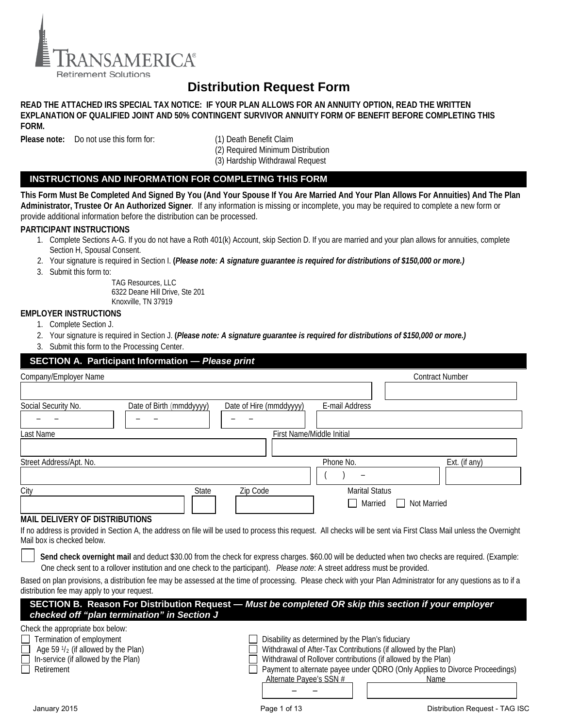

# **Distribution Request Form**

# **READ THE ATTACHED IRS SPECIAL TAX NOTICE: IF YOUR PLAN ALLOWS FOR AN ANNUITY OPTION, READ THE WRITTEN EXPLANATION OF QUALIFIED JOINT AND 50% CONTINGENT SURVIVOR ANNUITY FORM OF BENEFIT BEFORE COMPLETING THIS FORM.**

**Please note:** Do not use this form for: (1) Death Benefit Claim

(2) Required Minimum Distribution (3) Hardship Withdrawal Request

# **INSTRUCTIONS AND INFORMATION FOR COMPLETING THIS FORM**

**This Form Must Be Completed And Signed By You (And Your Spouse If You Are Married And Your Plan Allows For Annuities) And The Plan Administrator, Trustee Or An Authorized Signer***.* If any information is missing or incomplete, you may be required to complete a new form or provide additional information before the distribution can be processed.

# **PARTICIPANT INSTRUCTIONS**

- 1. Complete Sections A-G. If you do not have a Roth 401(k) Account, skip Section D. If you are married and your plan allows for annuities, complete Section H, Spousal Consent.
- 2. Your signature is required in Section I. **(***Please note: A signature guarantee is required for distributions of \$150,000 or more.)*
- 3. Submit this form to:

TAG Resources, LLC 6322 Deane Hill Drive, Ste 201 Knoxville, TN 37919

# **EMPLOYER INSTRUCTIONS**

- 1. Complete Section J.
- 2. Your signature is required in Section J. **(***Please note: A signature guarantee is required for distributions of \$150,000 or more.)*
- 3. Submit this form to the Processing Center.

| <b>SECTION A. Participant Information - Please print</b>                                                                                                                                          |                                                                                                                                 |  |  |  |  |
|---------------------------------------------------------------------------------------------------------------------------------------------------------------------------------------------------|---------------------------------------------------------------------------------------------------------------------------------|--|--|--|--|
| Company/Employer Name                                                                                                                                                                             | <b>Contract Number</b>                                                                                                          |  |  |  |  |
|                                                                                                                                                                                                   |                                                                                                                                 |  |  |  |  |
| Social Security No.<br>Date of Birth (mmddyyyy)<br>Date of Hire (mmddyyyy)                                                                                                                        | E-mail Address                                                                                                                  |  |  |  |  |
|                                                                                                                                                                                                   |                                                                                                                                 |  |  |  |  |
| First Name/Middle Initial<br>Last Name                                                                                                                                                            |                                                                                                                                 |  |  |  |  |
|                                                                                                                                                                                                   |                                                                                                                                 |  |  |  |  |
| Street Address/Apt. No.                                                                                                                                                                           | Phone No.<br>Ext. (if any)                                                                                                      |  |  |  |  |
|                                                                                                                                                                                                   |                                                                                                                                 |  |  |  |  |
| <b>State</b><br>Zip Code<br>City                                                                                                                                                                  | <b>Marital Status</b>                                                                                                           |  |  |  |  |
|                                                                                                                                                                                                   | Married<br>Not Married<br>П                                                                                                     |  |  |  |  |
| <b>MAIL DELIVERY OF DISTRIBUTIONS</b>                                                                                                                                                             |                                                                                                                                 |  |  |  |  |
| If no address is provided in Section A, the address on file will be used to process this request. All checks will be sent via First Class Mail unless the Overnight<br>Mail box is checked below. |                                                                                                                                 |  |  |  |  |
| Send check overnight mail and deduct \$30.00 from the check for express charges. \$60.00 will be deducted when two checks are required. (Example:                                                 |                                                                                                                                 |  |  |  |  |
| One check sent to a rollover institution and one check to the participant). Please note: A street address must be provided.                                                                       |                                                                                                                                 |  |  |  |  |
| Based on plan provisions, a distribution fee may be assessed at the time of processing. Please check with your Plan Administrator for any questions as to if a                                    |                                                                                                                                 |  |  |  |  |
| distribution fee may apply to your request.<br>SECTION B. Reason For Distribution Request - Must be completed OR skip this section if your employer                                               |                                                                                                                                 |  |  |  |  |
| checked off "plan termination" in Section J                                                                                                                                                       |                                                                                                                                 |  |  |  |  |
| Check the appropriate box below:                                                                                                                                                                  |                                                                                                                                 |  |  |  |  |
| Termination of employment                                                                                                                                                                         | Disability as determined by the Plan's fiduciary                                                                                |  |  |  |  |
| Age $59\frac{1}{2}$ (if allowed by the Plan)                                                                                                                                                      | Withdrawal of After-Tax Contributions (if allowed by the Plan)<br>Withdrawal of Rollover contributions (if allowed by the Plan) |  |  |  |  |
| In-service (if allowed by the Plan)<br>Retirement                                                                                                                                                 | Payment to alternate payee under QDRO (Only Applies to Divorce Proceedings)                                                     |  |  |  |  |
| Alternate Pavee's SSN #                                                                                                                                                                           | Name                                                                                                                            |  |  |  |  |
|                                                                                                                                                                                                   |                                                                                                                                 |  |  |  |  |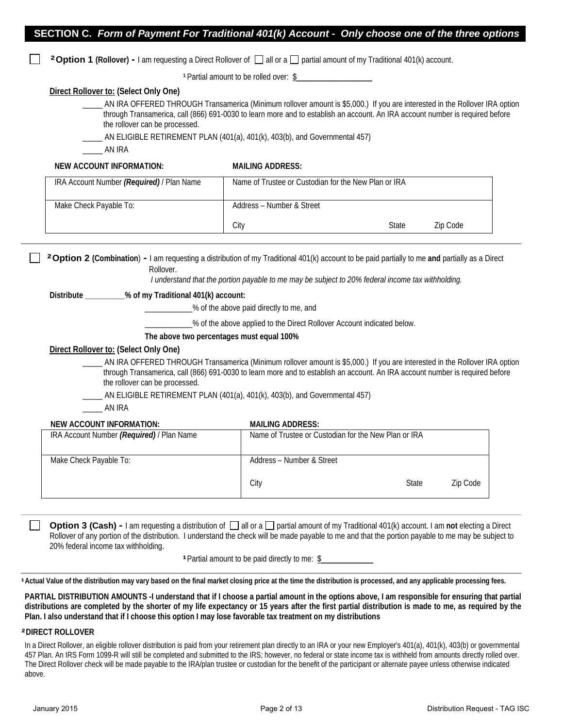|  |  | SECTION C. Form of Payment For Traditional 401(k) Account - Only choose one of the three options |  |  |
|--|--|--------------------------------------------------------------------------------------------------|--|--|
|--|--|--------------------------------------------------------------------------------------------------|--|--|

**<sup>2</sup> Option 1 (Rollover) - I am requesting a Direct Rollover of**  $\Box$  **all or a**  $\Box$  **partial amount of my Traditional 401(k) account.** 

<sup>1</sup> Partial amount to be rolled over: \$

# **Direct Rollover to: (Select Only One)**

\_\_\_\_\_ AN IRA OFFERED THROUGH Transamerica (Minimum rollover amount is \$5,000.) If you are interested in the Rollover IRA option through Transamerica, call (866) 691-0030 to learn more and to establish an account. An IRA account number is required before the rollover can be processed.

AN ELIGIBLE RETIREMENT PLAN (401(a), 401(k), 403(b), and Governmental 457)

\_\_\_\_\_ AN IRA

# **NEW ACCOUNT INFORMATION: MAILING ADDRESS:**

| IRA Account Number (Required) / Plan Name | Name of Trustee or Custodian for the New Plan or IRA |              |          |
|-------------------------------------------|------------------------------------------------------|--------------|----------|
| Make Check Payable To:                    | Address - Number & Street                            |              |          |
|                                           | City                                                 | <b>State</b> | Zip Code |

 **²Option 2 (Combination**) **-** I am requesting a distribution of my Traditional 401(k) account to be paid partially to me **and** partially as a Direct Rollover.

*I understand that the portion payable to me may be subject to 20% federal income tax withholding.* 

# **Distribute \_\_\_\_\_\_\_\_\_\_% of my Traditional 401(k) account:**

\_\_\_\_\_\_\_\_\_\_\_\_% of the above paid directly to me, and

\_\_\_\_\_\_\_\_\_\_\_\_% of the above applied to the Direct Rollover Account indicated below.

# **The above two percentages must equal 100%**

# **Direct Rollover to: (Select Only One)**

AN IRA OFFERED THROUGH Transamerica (Minimum rollover amount is \$5,000.) If you are interested in the Rollover IRA option through Transamerica, call (866) 691-0030 to learn more and to establish an account. An IRA account number is required before the rollover can be processed.

AN ELIGIBLE RETIREMENT PLAN (401(a), 401(k), 403(b), and Governmental 457)

\_\_\_\_\_ AN IRA

# **NEW ACCOUNT INFORMATION: MAILING ADDRESS:**

| IRA Account Number (Required) / Plan Name | Name of Trustee or Custodian for the New Plan or IRA |       |          |
|-------------------------------------------|------------------------------------------------------|-------|----------|
| Make Check Payable To:                    | Address - Number & Street                            |       |          |
|                                           | City                                                 | State | Zip Code |

**Option 3 (Cash)** - I am requesting a distribution of  $\Box$  all or a  $\Box$  partial amount of my Traditional 401(k) account. I am not electing a Direct Rollover of any portion of the distribution. I understand the check will be made payable to me and that the portion payable to me may be subject to 20% federal income tax withholding.

**Partial amount to be paid directly to me: \$** 

**<sup>¹</sup>Actual Value of the distribution may vary based on the final market closing price at the time the distribution is processed, and any applicable processing fees.** 

**PARTIAL DISTRIBUTION AMOUNTS -I understand that if I choose a partial amount in the options above, I am responsible for ensuring that partial distributions are completed by the shorter of my life expectancy or 15 years after the first partial distribution is made to me, as required by the Plan. I also understand that if I choose this option I may lose favorable tax treatment on my distributions** 

# **²DIRECT ROLLOVER**

In a Direct Rollover, an eligible rollover distribution is paid from your retirement plan directly to an IRA or your new Employer's 401(a), 401(k), 403(b) or governmental 457 Plan. An IRS Form 1099-R will still be completed and submitted to the IRS; however, no federal or state income tax is withheld from amounts directly rolled over. The Direct Rollover check will be made payable to the IRA/plan trustee or custodian for the benefit of the participant or alternate payee unless otherwise indicated above.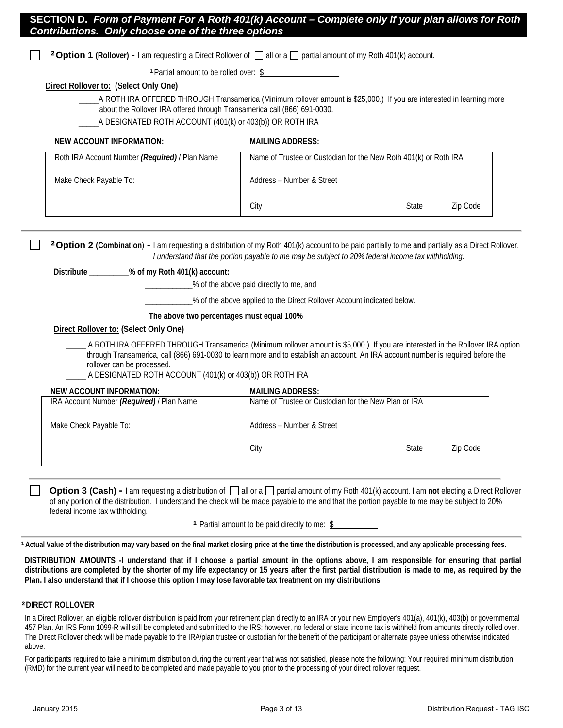**<sup>2</sup> Option 1 (Rollover) - I am requesting a Direct Rollover of all or a partial amount of my Roth 401(k) account.** 

<sup>1</sup> Partial amount to be rolled over: \$

# **Direct Rollover to: (Select Only One)**

- A ROTH IRA OFFERED THROUGH Transamerica (Minimum rollover amount is \$25,000.) If you are interested in learning more about the Rollover IRA offered through Transamerica call (866) 691-0030.
- A DESIGNATED ROTH ACCOUNT (401(k) or 403(b)) OR ROTH IRA

# **NEW ACCOUNT INFORMATION: MAILING ADDRESS:**

| Roth IRA Account Number (Required) / Plan Name | Name of Trustee or Custodian for the New Roth 401(k) or Roth IRA |              |          |
|------------------------------------------------|------------------------------------------------------------------|--------------|----------|
| Make Check Payable To:                         | Address – Number & Street                                        |              |          |
|                                                | City                                                             | <b>State</b> | Zip Code |

 **²Option 2 (Combination**) **-** I am requesting a distribution of my Roth 401(k) account to be paid partially to me **and** partially as a Direct Rollover. *I understand that the portion payable to me may be subject to 20% federal income tax withholding.* 

# **Distribute \_\_\_\_\_\_\_\_\_\_% of my Roth 401(k) account:**

\_\_\_\_\_\_\_\_\_\_\_\_% of the above paid directly to me, and

\_\_\_\_\_\_\_\_\_\_\_\_% of the above applied to the Direct Rollover Account indicated below.

# **The above two percentages must equal 100%**

# **Direct Rollover to: (Select Only One)**

\_\_\_\_\_ A ROTH IRA OFFERED THROUGH Transamerica (Minimum rollover amount is \$5,000.) If you are interested in the Rollover IRA option through Transamerica, call (866) 691-0030 to learn more and to establish an account. An IRA account number is required before the rollover can be processed.

\_\_\_\_\_ A DESIGNATED ROTH ACCOUNT (401(k) or 403(b)) OR ROTH IRA

## **NEW ACCOUNT INFORMATION: MAILING ADDRESS:**

| IRA Account Number (Required) / Plan Name | Name of Trustee or Custodian for the New Plan or IRA |              |          |
|-------------------------------------------|------------------------------------------------------|--------------|----------|
| Make Check Payable To:                    | Address - Number & Street                            |              |          |
|                                           | City                                                 | <b>State</b> | Zip Code |

**Option 3 (Cash)** - I am requesting a distribution of  $\Box$  all or a  $\Box$  partial amount of my Roth 401(k) account. I am not electing a Direct Rollover of any portion of the distribution. I understand the check will be made payable to me and that the portion payable to me may be subject to 20% federal income tax withholding.

**Partial amount to be paid directly to me: \$** 

**a** Actual Value of the distribution may vary based on the final market closing price at the time the distribution is processed, and any applicable processing fees.

**DISTRIBUTION AMOUNTS -I understand that if I choose a partial amount in the options above, I am responsible for ensuring that partial distributions are completed by the shorter of my life expectancy or 15 years after the first partial distribution is made to me, as required by the Plan. I also understand that if I choose this option I may lose favorable tax treatment on my distributions**

## **²DIRECT ROLLOVER**

In a Direct Rollover, an eligible rollover distribution is paid from your retirement plan directly to an IRA or your new Employer's 401(a), 401(k), 403(b) or governmental 457 Plan. An IRS Form 1099-R will still be completed and submitted to the IRS; however, no federal or state income tax is withheld from amounts directly rolled over. The Direct Rollover check will be made payable to the IRA/plan trustee or custodian for the benefit of the participant or alternate payee unless otherwise indicated above.

For participants required to take a minimum distribution during the current year that was not satisfied, please note the following: Your required minimum distribution (RMD) for the current year will need to be completed and made payable to you prior to the processing of your direct rollover request.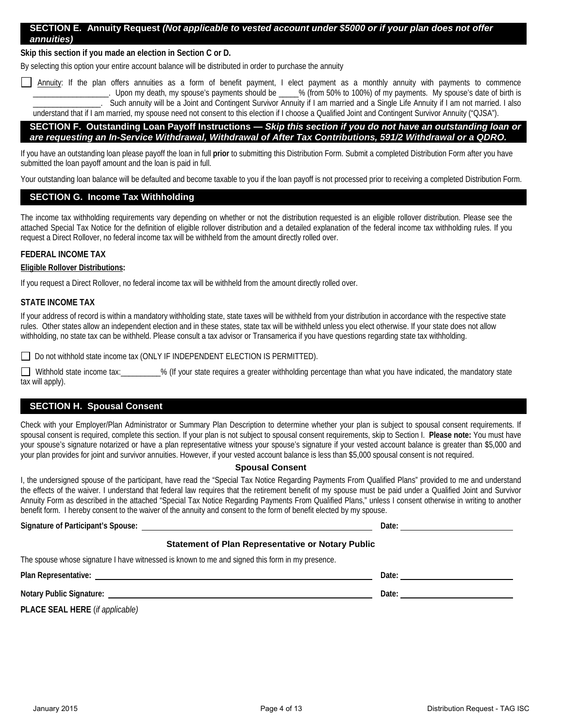# **SECTION E. Annuity Request** *(Not applicable to vested account under \$5000 or if your plan does not offer annuities)*

**Skip this section if you made an election in Section C or D.** 

By selecting this option your entire account balance will be distributed in order to purchase the annuity

Annuity: If the plan offers annuities as a form of benefit payment, I elect payment as a monthly annuity with payments to commence \_\_\_\_\_\_\_\_\_\_\_\_\_\_\_\_\_\_\_. Upon my death, my spouse's payments should be \_\_\_\_\_% (from 50% to 100%) of my payments. My spouse's date of birth is -<br>Such annuity will be a Joint and Contingent Survivor Annuity if I am married and a Single Life Annuity if I am not married. I also understand that if I am married, my spouse need not consent to this election if I choose a Qualified Joint and Contingent Survivor Annuity ("QJSA").

# **SECTION F. Outstanding Loan Payoff Instructions —** *Skip this section if you do not have an outstanding loan or are requesting an In-Service Withdrawal, Withdrawal of After Tax Contributions, 591/2 Withdrawal or a QDRO.*

If you have an outstanding loan please payoff the loan in full prior to submitting this Distribution Form. Submit a completed Distribution Form after you have submitted the loan payoff amount and the loan is paid in full.

Your outstanding loan balance will be defaulted and become taxable to you if the loan payoff is not processed prior to receiving a completed Distribution Form.

# **SECTION G. Income Tax Withholding**

The income tax withholding requirements vary depending on whether or not the distribution requested is an eligible rollover distribution. Please see the attached Special Tax Notice for the definition of eligible rollover distribution and a detailed explanation of the federal income tax withholding rules. If you request a Direct Rollover, no federal income tax will be withheld from the amount directly rolled over.

# **FEDERAL INCOME TAX**

# **Eligible Rollover Distributions:**

If you request a Direct Rollover, no federal income tax will be withheld from the amount directly rolled over.

# **STATE INCOME TAX**

If your address of record is within a mandatory withholding state, state taxes will be withheld from your distribution in accordance with the respective state rules. Other states allow an independent election and in these states, state tax will be withheld unless you elect otherwise. If your state does not allow withholding, no state tax can be withheld. Please consult a tax advisor or Transamerica if you have questions regarding state tax withholding.

□ Do not withhold state income tax (ONLY IF INDEPENDENT ELECTION IS PERMITTED).

Withhold state income tax: \_\_\_\_\_\_\_\_\_% (If your state requires a greater withholding percentage than what you have indicated, the mandatory state tax will apply).

# **SECTION H. Spousal Consent**

Check with your Employer/Plan Administrator or Summary Plan Description to determine whether your plan is subject to spousal consent requirements. If spousal consent is required, complete this section. If your plan is not subject to spousal consent requirements, skip to Section I. **Please note:** You must have your spouse's signature notarized or have a plan representative witness your spouse's signature if your vested account balance is greater than \$5,000 and your plan provides for joint and survivor annuities. However, if your vested account balance is less than \$5,000 spousal consent is not required.

# **Spousal Consent**

I, the undersigned spouse of the participant, have read the "Special Tax Notice Regarding Payments From Qualified Plans" provided to me and understand the effects of the waiver. I understand that federal law requires that the retirement benefit of my spouse must be paid under a Qualified Joint and Survivor Annuity Form as described in the attached "Special Tax Notice Regarding Payments From Qualified Plans," unless I consent otherwise in writing to another benefit form. I hereby consent to the waiver of the annuity and consent to the form of benefit elected by my spouse.

# **Signature of Participant's Spouse:** <u>Date: **Date:** Date: **Date:** Date: **Date:** Date: **Date:** Date: **Date:** Date: **Date:** Date: **Date:** Date: **Date:** Date: **Date:** Date: **Date:** Date: **Date:** Date: **Date:** Date: **Date:** Da</u>

# **Statement of Plan Representative or Notary Public**

The spouse whose signature I have witnessed is known to me and signed this form in my presence.

**Plan Representative:** Date: **Date: Date: Date: Date: Date: Date: Date: Date: Date: Date: Date: Date: Date: Date: Date: Date: Date: Date: Date: Date: Date: Date: Date: Date:**

**Notary Public Signature:**  $\qquad \qquad$  **Notary Public Signature:**  $\qquad \qquad$  **Date:**  $\qquad \qquad$ 

**PLACE SEAL HERE** (*if applicable)*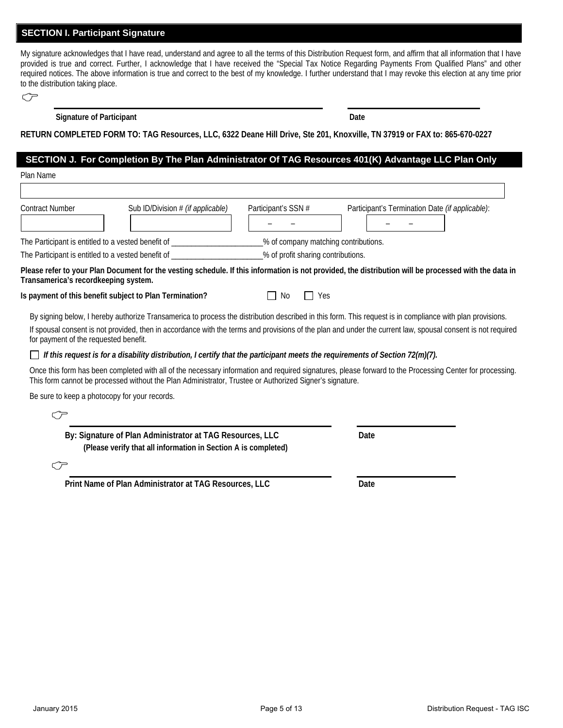# **SECTION I. Participant Signature**

My signature acknowledges that I have read, understand and agree to all the terms of this Distribution Request form, and affirm that all information that I have provided is true and correct. Further, I acknowledge that I have received the "Special Tax Notice Regarding Payments From Qualified Plans" and other required notices. The above information is true and correct to the best of my knowledge. I further understand that I may revoke this election at any time prior to the distribution taking place.

| ۰.<br>× |  |
|---------|--|
|         |  |

# **Signature of Participant Date**

# **RETURN COMPLETED FORM TO: TAG Resources, LLC, 6322 Deane Hill Drive, Ste 201, Knoxville, TN 37919 or FAX to: 865-670-0227**

# **SECTION J. For Completion By The Plan Administrator Of TAG Resources 401(K) Advantage LLC Plan Only**

| Plan Name                                               |                                                                                                                              |                     |                                                                                                                                                                                                                                                                                                                          |
|---------------------------------------------------------|------------------------------------------------------------------------------------------------------------------------------|---------------------|--------------------------------------------------------------------------------------------------------------------------------------------------------------------------------------------------------------------------------------------------------------------------------------------------------------------------|
|                                                         |                                                                                                                              |                     |                                                                                                                                                                                                                                                                                                                          |
| <b>Contract Number</b>                                  | Sub ID/Division # (if applicable)                                                                                            | Participant's SSN # | Participant's Termination Date (if applicable):                                                                                                                                                                                                                                                                          |
|                                                         |                                                                                                                              |                     |                                                                                                                                                                                                                                                                                                                          |
|                                                         | The Participant is entitled to a vested benefit of _____________________% of company matching contributions.                 |                     |                                                                                                                                                                                                                                                                                                                          |
|                                                         | The Participant is entitled to a vested benefit of _____________________% of profit sharing contributions.                   |                     |                                                                                                                                                                                                                                                                                                                          |
| Transamerica's recordkeeping system.                    |                                                                                                                              |                     | Please refer to your Plan Document for the vesting schedule. If this information is not provided, the distribution will be processed with the data in                                                                                                                                                                    |
| Is payment of this benefit subject to Plan Termination? |                                                                                                                              | $\Box$ Yes<br>No    |                                                                                                                                                                                                                                                                                                                          |
| for payment of the requested benefit.                   |                                                                                                                              |                     | By signing below, I hereby authorize Transamerica to process the distribution described in this form. This request is in compliance with plan provisions.<br>If spousal consent is not provided, then in accordance with the terms and provisions of the plan and under the current law, spousal consent is not required |
|                                                         | If this request is for a disability distribution, I certify that the participant meets the requirements of Section 72(m)(7). |                     |                                                                                                                                                                                                                                                                                                                          |
|                                                         | This form cannot be processed without the Plan Administrator, Trustee or Authorized Signer's signature.                      |                     | Once this form has been completed with all of the necessary information and required signatures, please forward to the Processing Center for processing.                                                                                                                                                                 |
| Be sure to keep a photocopy for your records.           |                                                                                                                              |                     |                                                                                                                                                                                                                                                                                                                          |
| ⊂∕⊃                                                     |                                                                                                                              |                     |                                                                                                                                                                                                                                                                                                                          |
|                                                         | By: Signature of Plan Administrator at TAG Resources, LLC<br>(Please verify that all information in Section A is completed)  |                     | Date                                                                                                                                                                                                                                                                                                                     |
| CF                                                      |                                                                                                                              |                     |                                                                                                                                                                                                                                                                                                                          |
|                                                         | Print Name of Plan Administrator at TAG Resources, LLC                                                                       |                     | Date                                                                                                                                                                                                                                                                                                                     |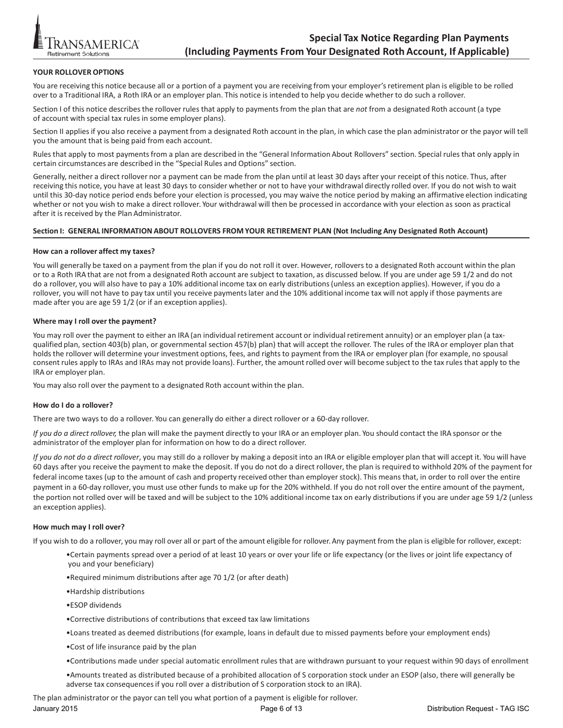

# YOUR ROLLOVER OPTIONS

You are receiving this notice because all or a portion of a payment you are receiving from your employer's retirement plan is eligible to be rolled over to a Traditional IRA, a Roth IRA or an employer plan. This notice is intended to help you decide whether to do such a rollover.

Section I of this notice describes the rollover rules that apply to payments from the plan that are *not* from a designated Roth account (a type of account with special tax rules in some employer plans).

Section II applies if you also receive a payment from a designated Roth account in the plan, in which case the plan administrator or the payor will tell you the amount that is being paid from each account.

Rules that apply to most payments from a plan are described in the "General Information About Rollovers" section. Special rules that only apply in certain circumstances are described in the "Special Rules and Options" section.

Generally, neither a direct rollover nor a payment can be made from the plan until at least 30 days after your receipt of this notice. Thus, after receiving this notice, you have at least 30 days to consider whether or not to have your withdrawal directly rolled over. If you do not wish to wait until this 30-day notice period ends before your election is processed, you may waive the notice period by making an affirmative election indicating whether or not you wish to make a direct rollover. Your withdrawal will then be processed in accordance with your election as soon as practical after it is received by the Plan Administrator.

## **Section I: GENERAL INFORMATION ABOUT ROLLOVERS FROM YOUR RETIREMENT PLAN (Not Including Any Designated Roth Account)**

#### **How can a rollover affect my taxes?**

You will generally be taxed on a payment from the plan if you do not roll it over. However, rollovers to a designated Roth account within the plan or to a Roth IRA that are not from a designated Roth account are subject to taxation, as discussed below. If you are under age 59 1/2 and do not do a rollover, you will also have to pay a 10% additional income tax on early distributions(unless an exception applies). However, if you do a rollover, you will not have to pay tax until you receive paymentslater and the 10% additional income tax will not apply if those payments are made after you are age 59 1/2 (or if an exception applies).

## **Where may I roll over the payment?**

You may roll over the payment to either an IRA (an individual retirement account or individual retirement annuity) or an employer plan (a taxqualified plan, section 403(b) plan, or governmental section 457(b) plan) that will accept the rollover. The rules of the IRA or employer plan that holds the rollover will determine your investment options, fees, and rights to payment from the IRA or employer plan (for example, no spousal consent rules apply to IRAs and IRAs may not provide loans). Further, the amount rolled over will become subject to the tax rules that apply to the IRA or employer plan.

You may also roll over the payment to a designated Roth account within the plan.

## **How do I do a rollover?**

There are two ways to do a rollover. You can generally do either a direct rollover or a 60-day rollover.

*If you do a direct rollover,* the plan will make the payment directly to your IRA or an employer plan. You should contact the IRA sponsor or the administrator of the employer plan for information on how to do a direct rollover.

*If you do not do a direct rollover*, you may still do a rollover by making a deposit into an IRA or eligible employer plan that will accept it. You will have 60 days after you receive the payment to make the deposit. If you do not do a direct rollover, the plan is required to withhold 20% of the payment for federal income taxes (up to the amount of cash and property received other than employer stock). This means that, in order to roll over the entire payment in a 60-day rollover, you must use other funds to make up for the 20% withheld. If you do not roll over the entire amount of the payment, the portion not rolled over will be taxed and will be subject to the 10% additional income tax on early distributions if you are under age 59 1/2 (unless an exception applies).

## **How much may I roll over?**

If you wish to do a rollover, you may roll over all or part of the amount eligible for rollover. Any payment from the plan is eligible for rollover, except:

- •Certain payments spread over a period of at least 10 years or over your life or life expectancy (or the lives or joint life expectancy of you and your beneficiary)
- •Required minimum distributions after age 70 1/2 (or after death)
- •Hardship distributions
- •ESOP dividends
- •Corrective distributions of contributions that exceed tax law limitations
- •Loans treated as deemed distributions (for example, loans in default due to missed payments before your employment ends)
- •Cost of life insurance paid by the plan
- •Contributions made under special automatic enrollment rules that are withdrawn pursuant to your request within 90 days of enrollment
- •Amounts treated as distributed because of a prohibited allocation of S corporation stock under an ESOP (also, there will generally be adverse tax consequencesif you roll over a distribution of S corporation stock to an IRA).

The plan administrator or the payor can tell you what portion of a payment is eligible for rollover.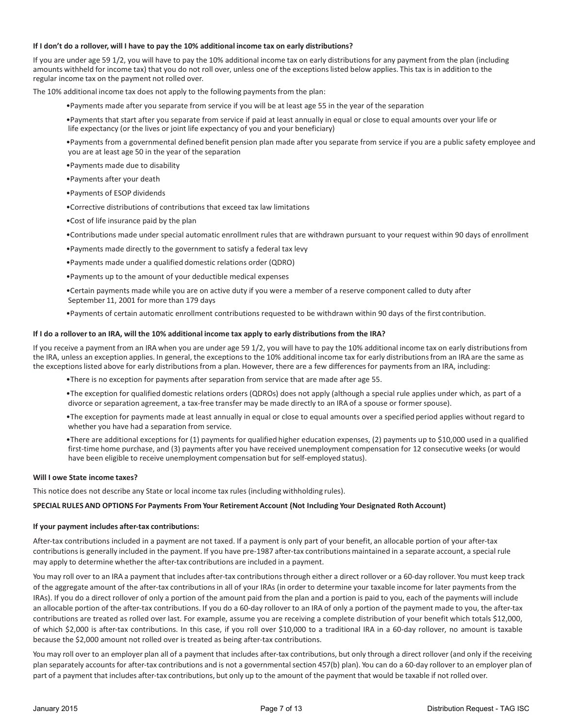### **If I don't do a rollover, will I have to pay the 10% additional income tax on early distributions?**

If you are under age 59 1/2, you will have to pay the 10% additional income tax on early distributions for any payment from the plan (including amounts withheld for income tax) that you do not roll over, unless one of the exceptionslisted below applies. This tax is in addition to the regular income tax on the payment not rolled over.

The 10% additional income tax does not apply to the following payments from the plan:

- •Payments made after you separate from service if you will be at least age 55 in the year of the separation
- •Payments that start after you separate from service if paid at least annually in equal or close to equal amounts over your life or life expectancy (or the lives or joint life expectancy of you and your beneficiary)
- •Payments from a governmental defined benefit pension plan made after you separate from service if you are a public safety employee and you are at least age 50 in the year of the separation
- •Payments made due to disability
- •Payments after your death
- •Payments of ESOP dividends
- •Corrective distributions of contributions that exceed tax law limitations
- •Cost of life insurance paid by the plan
- •Contributions made under special automatic enrollment rules that are withdrawn pursuant to your request within 90 days of enrollment
- •Payments made directly to the government to satisfy a federal tax levy
- •Payments made under a qualified domestic relations order (QDRO)
- •Payments up to the amount of your deductible medical expenses
- •Certain payments made while you are on active duty if you were a member of a reserve component called to duty after September 11, 2001 for more than 179 days
- •Payments of certain automatic enrollment contributions requested to be withdrawn within 90 days of the first contribution.

#### **If I do a rolloverto an IRA, will the 10% additional income tax apply to early distributions from the IRA?**

If you receive a payment from an IRA when you are under age 59 1/2, you will have to pay the 10% additional income tax on early distributions from the IRA, unless an exception applies. In general, the exceptions to the 10% additional income tax for early distributions from an IRA are the same as the exceptions listed above for early distributions from a plan. However, there are a few differences for payments from an IRA, including:

- •There is no exception for payments after separation from service that are made after age 55.
- •The exception for qualified domestic relations orders (QDROs) does not apply (although a special rule applies under which, as part of a divorce or separation agreement, a tax-free transfer may be made directly to an IRA of a spouse or former spouse).
- •The exception for payments made at least annually in equal or close to equal amounts over a specified period applies without regard to whether you have had a separation from service.
- •There are additional exceptions for (1) payments for qualified higher education expenses, (2) payments up to \$10,000 used in a qualified first-time home purchase, and (3) payments after you have received unemployment compensation for 12 consecutive weeks (or would have been eligible to receive unemployment compensation but for self-employed status).

#### **Will I owe State income taxes?**

This notice does not describe any State or local income tax rules (including withholding rules).

#### **SPECIAL RULES AND OPTIONS For Payments From Your Retirement Account (Not Including Your Designated Roth Account)**

#### **If your payment includes after-tax contributions:**

After-tax contributions included in a payment are not taxed. If a payment is only part of your benefit, an allocable portion of your after-tax contributionsis generally included in the payment. If you have pre-1987 after-tax contributions maintained in a separate account, a special rule may apply to determine whether the after-tax contributions are included in a payment.

You may roll over to an IRA a payment that includes after-tax contributions through either a direct rollover or a 60-day rollover. You must keep track of the aggregate amount of the after-tax contributionsin all of your IRAs (in order to determine your taxable income for later paymentsfrom the IRAs). If you do a direct rollover of only a portion of the amount paid from the plan and a portion is paid to you, each of the payments will include an allocable portion of the after-tax contributions. If you do a 60-day rollover to an IRA of only a portion of the payment made to you, the after-tax contributions are treated as rolled over last. For example, assume you are receiving a complete distribution of your benefit which totals \$12,000, of which \$2,000 is after-tax contributions. In this case, if you roll over \$10,000 to a traditional IRA in a 60-day rollover, no amount is taxable because the \$2,000 amount not rolled over is treated as being after-tax contributions.

You may roll over to an employer plan all of a payment that includes after-tax contributions, but only through a direct rollover (and only if the receiving plan separately accounts for after-tax contributions and is not a governmental section 457(b) plan). You can do a 60-day rollover to an employer plan of part of a payment that includes after-tax contributions, but only up to the amount of the payment that would be taxable if not rolled over.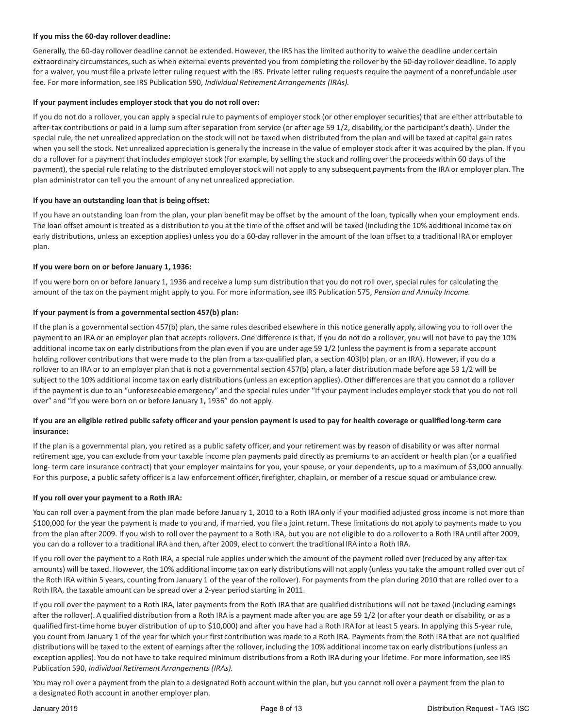# **If you miss the 60-day rollover deadline:**

Generally, the 60-day rollover deadline cannot be extended. However, the IRS has the limited authority to waive the deadline under certain extraordinary circumstances, such as when external events prevented you from completing the rollover by the 60-day rollover deadline. To apply for a waiver, you must file a private letter ruling request with the IRS. Private letter ruling requests require the payment of a nonrefundable user fee. For more information, see IRS Publication 590, *Individual Retirement Arrangements (IRAs)*.

# **If your payment includes employerstock that you do not roll over:**

If you do not do a rollover, you can apply a special rule to payments of employerstock (or other employersecurities) that are either attributable to after-tax contributions or paid in a lump sum after separation from service (or after age 59 1/2, disability, or the participant's death). Under the special rule, the net unrealized appreciation on the stock will not be taxed when distributed from the plan and will be taxed at capital gain rates when you sell the stock. Net unrealized appreciation is generally the increase in the value of employerstock after it was acquired by the plan. If you do a rollover for a payment that includes employer stock (for example, by selling the stock and rolling over the proceeds within 60 days of the payment), the special rule relating to the distributed employer stock will not apply to any subsequent payments from the IRA or employer plan. The plan administrator can tell you the amount of any net unrealized appreciation.

# **If you have an outstanding loan that is being offset:**

If you have an outstanding loan from the plan, your plan benefit may be offset by the amount of the loan, typically when your employment ends. The loan offset amount is treated as a distribution to you at the time of the offset and will be taxed (including the 10% additional income tax on early distributions, unless an exception applies) unless you do a 60-day rollover in the amount of the loan offset to a traditional IRA or employer plan.

# **If you were born on or before January 1, 1936:**

If you were born on or before January 1, 1936 and receive a lump sum distribution that you do not roll over, special rules for calculating the amount of the tax on the payment might apply to you. For more information, see IRS Publication 575, *Pension and Annuity Income.* 

# **If your payment is from a governmentalsection 457(b) plan:**

If the plan is a governmental section 457(b) plan, the same rules described elsewhere in this notice generally apply, allowing you to roll over the payment to an IRA or an employer plan that accepts rollovers. One difference is that, if you do not do a rollover, you will not have to pay the 10% additional income tax on early distributionsfrom the plan even if you are under age 59 1/2 (unless the payment is from a separate account holding rollover contributions that were made to the plan from a tax-qualified plan, a section 403(b) plan, or an IRA). However, if you do a rollover to an IRA or to an employer plan that is not a governmentalsection 457(b) plan, a later distribution made before age 59 1/2 will be subject to the 10% additional income tax on early distributions(unless an exception applies). Other differences are that you cannot do a rollover if the payment is due to an "unforeseeable emergency" and the special rules under "If your payment includes employerstock that you do not roll over" and "If you were born on or before January 1, 1936" do not apply.

# **If you are an eligible retired public safety officer and your pension payment is used to pay for health coverage or qualified long-term care insurance:**

If the plan is a governmental plan, you retired as a public safety officer, and your retirement was by reason of disability or was after normal retirement age, you can exclude from your taxable income plan payments paid directly as premiums to an accident or health plan (or a qualified long- term care insurance contract) that your employer maintains for you, your spouse, or your dependents, up to a maximum of \$3,000 annually. For this purpose, a public safety officeris a law enforcement officer, firefighter, chaplain, or member of a rescue squad or ambulance crew.

## **If you roll over your payment to a Roth IRA:**

You can roll over a payment from the plan made before January 1, 2010 to a Roth IRA only if your modified adjusted gross income is not more than \$100,000 for the year the payment is made to you and, if married, you file a joint return. These limitations do not apply to payments made to you from the plan after 2009. If you wish to roll over the payment to a Roth IRA, but you are not eligible to do a rollover to a Roth IRA until after 2009, you can do a rollover to a traditional IRA and then, after 2009, elect to convert the traditional IRA into a Roth IRA.

If you roll over the payment to a Roth IRA, a special rule applies under which the amount of the payment rolled over (reduced by any after-tax amounts) will be taxed. However, the 10% additional income tax on early distributions will not apply (unless you take the amount rolled over out of the Roth IRA within 5 years, counting from January 1 of the year of the rollover). For payments from the plan during 2010 that are rolled over to a Roth IRA, the taxable amount can be spread over a 2-year period starting in 2011.

If you roll over the payment to a Roth IRA, later payments from the Roth IRA that are qualified distributions will not be taxed (including earnings after the rollover). A qualified distribution from a Roth IRA is a payment made after you are age 59 1/2 (or after your death or disability, or as a qualified first-time home buyer distribution of up to \$10,000) and after you have had a Roth IRA for at least 5 years. In applying this 5-year rule, you count from January 1 of the year for which your first contribution was made to a Roth IRA. Payments from the Roth IRA that are not qualified distributions will be taxed to the extent of earnings after the rollover, including the 10% additional income tax on early distributions (unless an exception applies). You do not have to take required minimum distributions from a Roth IRA during your lifetime. For more information, see IRS Publication 590, *Individual Retirement Arrangements (IRAs).*

You may roll over a payment from the plan to a designated Roth account within the plan, but you cannot roll over a payment from the plan to a designated Roth account in another employer plan.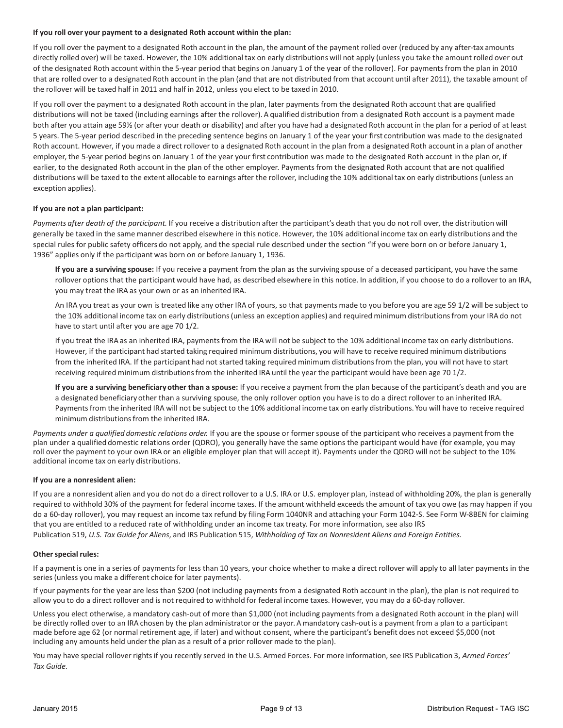# **If you roll over your payment to a designated Roth account within the plan:**

If you roll over the payment to a designated Roth account in the plan, the amount of the payment rolled over (reduced by any after-tax amounts directly rolled over) will be taxed. However, the 10% additional tax on early distributions will not apply (unless you take the amount rolled over out of the designated Roth account within the 5-year period that begins on January 1 of the year of the rollover). For paymentsfrom the plan in 2010 that are rolled over to a designated Roth account in the plan (and that are not distributed from that account until after 2011), the taxable amount of the rollover will be taxed half in 2011 and half in 2012, unless you elect to be taxed in 2010.

If you roll over the payment to a designated Roth account in the plan, later payments from the designated Roth account that are qualified distributions will not be taxed (including earnings after the rollover). A qualified distribution from a designated Roth account is a payment made both after you attain age 59½ (or after your death or disability) and after you have had a designated Roth account in the plan for a period of at least 5 years. The 5-year period described in the preceding sentence begins on January 1 of the year your first contribution was made to the designated Roth account. However, if you made a direct rollover to a designated Roth account in the plan from a designated Roth account in a plan of another employer, the 5-year period begins on January 1 of the year your first contribution was made to the designated Roth account in the plan or, if earlier, to the designated Roth account in the plan of the other employer. Payments from the designated Roth account that are not qualified distributions will be taxed to the extent allocable to earnings after the rollover, including the 10% additional tax on early distributions (unless an exception applies).

# **If you are not a plan participant:**

*Payments after death of the participant.* If you receive a distribution after the participant's death that you do not roll over, the distribution will generally be taxed in the same manner described elsewhere in this notice. However, the 10% additional income tax on early distributions and the special rules for public safety officers do not apply, and the special rule described under the section "If you were born on or before January 1, 1936" applies only if the participant was born on or before January 1, 1936.

**If you are a surviving spouse:** If you receive a payment from the plan as the surviving spouse of a deceased participant, you have the same rollover options that the participant would have had, as described elsewhere in this notice. In addition, if you choose to do a rolloverto an IRA, you may treat the IRA as your own or as an inherited IRA.

An IRA you treat as your own is treated like any other IRA of yours, so that payments made to you before you are age 59 1/2 will be subject to the 10% additional income tax on early distributions(unless an exception applies) and required minimum distributionsfrom your IRA do not have to start until after you are age 70 1/2.

If you treat the IRA as an inherited IRA, payments from the IRA will not be subject to the 10% additional income tax on early distributions. However, if the participant had started taking required minimum distributions, you will have to receive required minimum distributions from the inherited IRA. If the participant had not started taking required minimum distributionsfrom the plan, you will not have to start receiving required minimum distributionsfrom the inherited IRA until the year the participant would have been age 70 1/2.

**If you are a surviving beneficiary other than a spouse:** If you receive a payment from the plan because of the participant's death and you are a designated beneficiaryother than a surviving spouse, the only rollover option you have is to do a direct rollover to an inherited IRA. Paymentsfrom the inherited IRA will not be subject to the 10% additional income tax on early distributions. You will have to receive required minimum distributions from the inherited IRA.

*Payments under a qualified domestic relations order.* If you are the spouse or former spouse of the participant who receives a payment from the plan under a qualified domestic relations order (QDRO), you generally have the same options the participant would have (for example, you may roll over the payment to your own IRA or an eligible employer plan that will accept it). Payments under the QDRO will not be subject to the 10% additional income tax on early distributions.

## **If you are a nonresident alien:**

If you are a nonresident alien and you do not do a direct rollover to a U.S. IRA or U.S. employer plan, instead of withholding 20%, the plan is generally required to withhold 30% of the payment for federal income taxes. If the amount withheld exceeds the amount of tax you owe (as may happen if you do a 60-day rollover), you may request an income tax refund by filing Form 1040NR and attaching your Form 1042-S. See Form W-8BEN for claiming that you are entitled to a reduced rate of withholding under an income tax treaty. For more information, see also IRS Publication 519, *U.S. Tax Guide for Aliens*, and IRS Publication 515, *Withholding of Tax on Nonresident Aliens and Foreign Entities.*

## **Other special rules:**

If a payment is one in a series of payments for less than 10 years, your choice whether to make a direct rollover will apply to all later payments in the series(unless you make a different choice for later payments).

If your payments for the year are less than \$200 (not including payments from a designated Roth account in the plan), the plan is not required to allow you to do a direct rollover and is not required to withhold for federal income taxes. However, you may do a 60-day rollover.

Unless you elect otherwise, a mandatory cash-out of more than \$1,000 (not including payments from a designated Roth account in the plan) will be directly rolled over to an IRA chosen by the plan administrator or the payor. A mandatory cash-out is a payment from a plan to a participant made before age 62 (or normal retirement age, if later) and without consent, where the participant's benefit does not exceed \$5,000 (not including any amounts held under the plan as a result of a prior rollover made to the plan).

You may have special rollover rights if you recently served in the U.S. Armed Forces. For more information, see IRS Publication 3, Armed Forces' *Tax Guide.*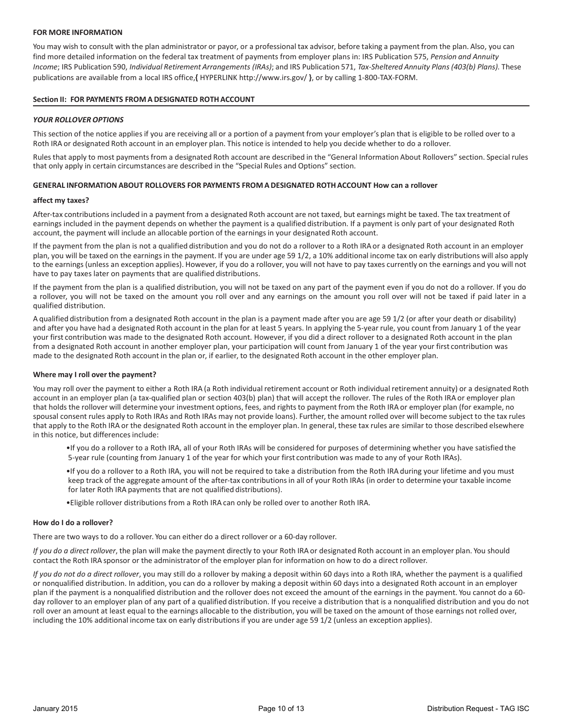# **FOR MORE INFORMATION**

You may wish to consult with the plan administrator or payor, or a professional tax advisor, before taking a payment from the plan. Also, you can find more detailed information on the federal tax treatment of payments from employer plans in: IRS Publication 575, *Pension and Annuity Income*; IRS Publication 590, *Individual Retirement Arrangements (IRAs)*; and IRS Publication 571, *Tax-Sheltered Annuity Plans (403(b) Plans).* These publications are available from a local IRS office,**{** [HYPERLINK http://www.irs.gov/](http://www.irs.gov/) **}**, or by calling 1-800-TAX-FORM.

# **Section II: FOR PAYMENTS FROM A DESIGNATED ROTHACCOUNT**

# *YOUR ROLLOVER OPTIONS*

This section of the notice appliesif you are receiving all or a portion of a payment from your employer's plan that is eligible to be rolled over to a Roth IRA or designated Roth account in an employer plan. This notice is intended to help you decide whether to do a rollover.

Rules that apply to most payments from a designated Roth account are described in the "General Information About Rollovers" section. Special rules that only apply in certain circumstances are described in the "Special Rules and Options" section.

# **GENERAL INFORMATION ABOUT ROLLOVERS FOR PAYMENTS FROM A DESIGNATED ROTHACCOUNT How can a rollover**

## **affect my taxes?**

After-tax contributionsincluded in a payment from a designated Roth account are not taxed, but earnings might be taxed. The tax treatment of earnings included in the payment depends on whether the payment is a qualified distribution. If a payment is only part of your designated Roth account, the payment will include an allocable portion of the earnings in your designated Roth account.

If the payment from the plan is not a qualified distribution and you do not do a rollover to a Roth IRA or a designated Roth account in an employer plan, you will be taxed on the earningsin the payment. If you are under age 59 1/2, a 10% additional income tax on early distributions will also apply to the earnings (unless an exception applies). However, if you do a rollover, you will not have to pay taxes currently on the earnings and you will not have to pay taxes later on payments that are qualified distributions.

If the payment from the plan is a qualified distribution, you will not be taxed on any part of the payment even if you do not do a rollover. If you do a rollover, you will not be taxed on the amount you roll over and any earnings on the amount you roll over will not be taxed if paid later in a qualified distribution.

A qualified distribution from a designated Roth account in the plan is a payment made after you are age 59 1/2 (or after your death or disability) and after you have had a designated Roth account in the plan for at least 5 years. In applying the 5-year rule, you count from January 1 of the year your first contribution was made to the designated Roth account. However, if you did a direct rollover to a designated Roth account in the plan from a designated Roth account in another employer plan, your participation will count from January 1 of the year your first contribution was made to the designated Roth account in the plan or, if earlier, to the designated Roth account in the other employer plan.

## **Where may I roll over the payment?**

You may roll over the payment to either a Roth IRA (a Roth individual retirement account or Roth individual retirement annuity) or a designated Roth account in an employer plan (a tax-qualified plan or section 403(b) plan) that will accept the rollover. The rules of the Roth IRA or employer plan that holds the rollover will determine your investment options, fees, and rightsto payment from the Roth IRA or employer plan (for example, no spousal consent rules apply to Roth IRAs and Roth IRAs may not provide loans). Further, the amount rolled over will become subject to the tax rules that apply to the Roth IRA or the designated Roth account in the employer plan. In general, these tax rules are similar to those described elsewhere in this notice, but differences include:

- •If you do a rollover to a Roth IRA, all of your Roth IRAs will be considered for purposes of determining whether you have satisfied the 5-year rule (counting from January 1 of the year for which your first contribution was made to any of your Roth IRAs).
- •If you do a rollover to a Roth IRA, you will not be required to take a distribution from the Roth IRA during your lifetime and you must keep track of the aggregate amount of the after-tax contributionsin all of your Roth IRAs (in order to determine your taxable income for later Roth IRA payments that are not qualified distributions).
- •Eligible rollover distributions from a Roth IRA can only be rolled over to another Roth IRA.

## **How do I do a rollover?**

There are two ways to do a rollover. You can either do a direct rollover or a 60-day rollover.

*If you do a direct rollover*, the plan will make the payment directly to your Roth IRA or designated Roth account in an employer plan. You should contact the Roth IRA sponsor or the administrator of the employer plan for information on how to do a direct rollover.

*If you do not do a direct rollover*, you may still do a rollover by making a deposit within 60 days into a Roth IRA, whether the payment is a qualified or nonqualified distribution. In addition, you can do a rollover by making a deposit within 60 days into a designated Roth account in an employer plan if the payment is a nonqualified distribution and the rollover does not exceed the amount of the earnings in the payment. You cannot do a 60 day rollover to an employer plan of any part of a qualified distribution. If you receive a distribution that is a nonqualified distribution and you do not roll over an amount at least equal to the earnings allocable to the distribution, you will be taxed on the amount of those earnings not rolled over, including the 10% additional income tax on early distributionsif you are under age 59 1/2 (unless an exception applies).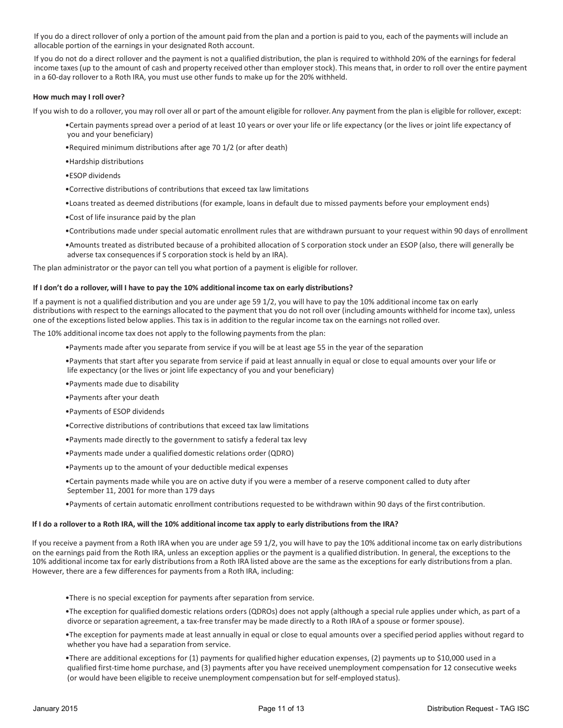If you do a direct rollover of only a portion of the amount paid from the plan and a portion is paid to you, each of the payments will include an allocable portion of the earnings in your designated Roth account.

If you do not do a direct rollover and the payment is not a qualified distribution, the plan is required to withhold 20% of the earnings for federal income taxes (up to the amount of cash and property received other than employer stock). This means that, in order to roll over the entire payment in a 60-day rollover to a Roth IRA, you must use other funds to make up for the 20% withheld.

## **How much may I roll over?**

If you wish to do a rollover, you may roll over all or part of the amount eligible for rollover. Any payment from the plan is eligible for rollover, except:

- •Certain payments spread over a period of at least 10 years or over your life or life expectancy (or the lives or joint life expectancy of you and your beneficiary)
- •Required minimum distributions after age 70 1/2 (or after death)
- •Hardship distributions
- •ESOP dividends
- •Corrective distributions of contributions that exceed tax law limitations
- •Loans treated as deemed distributions (for example, loans in default due to missed payments before your employment ends)
- •Cost of life insurance paid by the plan
- •Contributions made under special automatic enrollment rules that are withdrawn pursuant to your request within 90 days of enrollment

•Amounts treated as distributed because of a prohibited allocation of S corporation stock under an ESOP (also, there will generally be adverse tax consequences if S corporation stock is held by an IRA).

The plan administrator or the payor can tell you what portion of a payment is eligible for rollover.

## **If I don't do a rollover, will I have to pay the 10% additional income tax on early distributions?**

If a payment is not a qualified distribution and you are under age 59 1/2, you will have to pay the 10% additional income tax on early distributions with respect to the earnings allocated to the payment that you do not roll over (including amounts withheld for income tax), unless one of the exceptionslisted below applies. This tax is in addition to the regular income tax on the earnings not rolled over.

The 10% additional income tax does not apply to the following payments from the plan:

- •Payments made after you separate from service if you will be at least age 55 in the year of the separation
- •Payments that start after you separate from service if paid at least annually in equal or close to equal amounts over your life or life expectancy (or the lives or joint life expectancy of you and your beneficiary)
- •Payments made due to disability
- •Payments after your death
- •Payments of ESOP dividends
- •Corrective distributions of contributions that exceed tax law limitations
- •Payments made directly to the government to satisfy a federal tax levy
- •Payments made under a qualified domestic relations order (QDRO)
- •Payments up to the amount of your deductible medical expenses
- •Certain payments made while you are on active duty if you were a member of a reserve component called to duty after September 11, 2001 for more than 179 days
- •Payments of certain automatic enrollment contributions requested to be withdrawn within 90 days of the first contribution.

## **If I do a rolloverto a Roth IRA, will the 10% additional income tax apply to early distributions from the IRA?**

If you receive a payment from a Roth IRA when you are under age 59 1/2, you will have to pay the 10% additional income tax on early distributions on the earnings paid from the Roth IRA, unless an exception applies or the payment is a qualified distribution. In general, the exceptions to the 10% additional income tax for early distributions from a Roth IRA listed above are the same as the exceptions for early distributions from a plan. However, there are a few differences for payments from a Roth IRA, including:

- •There is no special exception for payments after separation from service.
- •The exception for qualified domestic relations orders (QDROs) does not apply (although a special rule applies under which, as part of a divorce or separation agreement, a tax-free transfer may be made directly to a Roth IRA of a spouse or former spouse).
- •The exception for payments made at least annually in equal or close to equal amounts over a specified period applies without regard to whether you have had a separation from service.
- •There are additional exceptions for (1) payments for qualified higher education expenses, (2) payments up to \$10,000 used in a qualified first-time home purchase, and (3) payments after you have received unemployment compensation for 12 consecutive weeks (or would have been eligible to receive unemployment compensation but for self-employed status).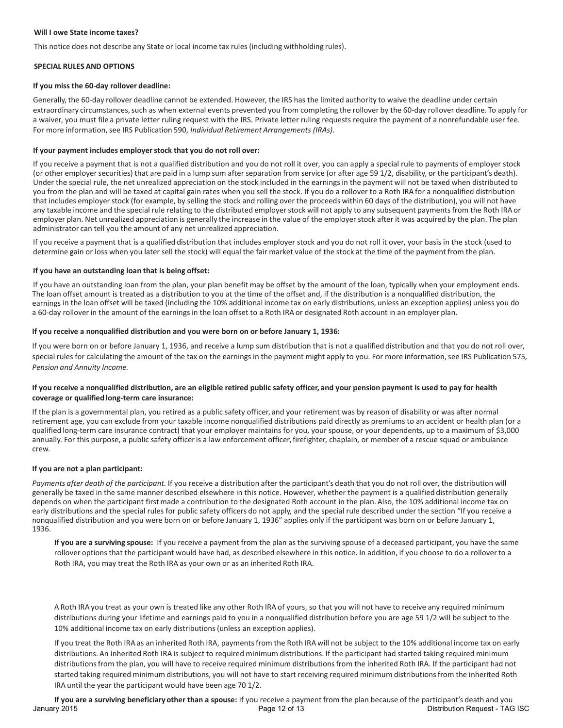## **Will I owe State income taxes?**

This notice does not describe any State or local income tax rules (including withholding rules).

#### **SPECIAL RULES AND OPTIONS**

#### **If you miss the 60-day rollover deadline:**

Generally, the 60-day rollover deadline cannot be extended. However, the IRS has the limited authority to waive the deadline under certain extraordinary circumstances, such as when external events prevented you from completing the rollover by the 60-day rollover deadline. To apply for a waiver, you must file a private letter ruling request with the IRS. Private letter ruling requests require the payment of a nonrefundable user fee. For more information,see IRS Publication 590, *Individual Retirement Arrangements (IRAs)*.

## **If your payment includes employerstock that you do not roll over:**

If you receive a payment that is not a qualified distribution and you do not roll it over, you can apply a special rule to payments of employer stock (or other employer securities) that are paid in a lump sum after separation from service (or after age 59 1/2, disability, or the participant's death). Under the special rule, the net unrealized appreciation on the stock included in the earnings in the payment will not be taxed when distributed to you from the plan and will be taxed at capital gain rates when you sell the stock. If you do a rollover to a Roth IRA for a nonqualified distribution that includes employer stock (for example, by selling the stock and rolling over the proceeds within 60 days of the distribution), you will not have any taxable income and the special rule relating to the distributed employer stock will not apply to any subsequent payments from the Roth IRA or employer plan. Net unrealized appreciation is generally the increase in the value of the employer stock after it was acquired by the plan. The plan administrator can tell you the amount of any net unrealized appreciation.

If you receive a payment that is a qualified distribution that includes employer stock and you do not roll it over, your basis in the stock (used to determine gain or loss when you later sell the stock) will equal the fair market value of the stock at the time of the payment from the plan.

#### **If you have an outstanding loan that is being offset:**

If you have an outstanding loan from the plan, your plan benefit may be offset by the amount of the loan, typically when your employment ends. The loan offset amount is treated as a distribution to you at the time of the offset and, if the distribution is a nonqualified distribution, the earnings in the loan offset will be taxed (including the 10% additional income tax on early distributions, unless an exception applies) unless you do a 60-day rollover in the amount of the earnings in the loan offset to a Roth IRA or designated Roth account in an employer plan.

#### **If you receive a nonqualified distribution and you were born on or before January 1, 1936:**

If you were born on or before January 1, 1936, and receive a lump sum distribution that is not a qualified distribution and that you do not roll over, special rules for calculating the amount of the tax on the earnings in the payment might apply to you. For more information,see IRS Publication 575*, Pension and Annuity Income.*

## **If you receive a nonqualified distribution, are an eligible retired public safety officer, and your pension payment is used to pay for health coverage or qualified long-term care insurance:**

If the plan is a governmental plan, you retired as a public safety officer, and your retirement was by reason of disability or was after normal retirement age, you can exclude from your taxable income nonqualified distributions paid directly as premiums to an accident or health plan (or a qualified long-term care insurance contract) that your employer maintains for you, your spouse, or your dependents, up to a maximum of \$3,000 annually. For this purpose, a public safety officeris a law enforcement officer, firefighter, chaplain, or member of a rescue squad or ambulance crew.

# **If you are not a plan participant:**

*Payments after death of the participant.* If you receive a distribution after the participant's death that you do not roll over, the distribution will generally be taxed in the same manner described elsewhere in this notice. However, whether the payment is a qualified distribution generally depends on when the participant firstmade a contribution to the designated Roth account in the plan. Also, the 10% additional income tax on early distributions and the special rules for public safety officers do not apply, and the special rule described under the section "If you receive a nonqualified distribution and you were born on or before January 1, 1936" applies only if the participant was born on or before January 1, 1936.

**If you are a surviving spouse:** If you receive a payment from the plan as the surviving spouse of a deceased participant, you have the same rollover options that the participant would have had, as described elsewhere in this notice. In addition, if you choose to do a rolloverto a Roth IRA, you may treat the Roth IRA as your own or as an inherited Roth IRA.

A Roth IRA you treat as your own is treated like any other Roth IRA of yours, so that you will not have to receive any required minimum distributions during your lifetime and earnings paid to you in a nonqualified distribution before you are age 59 1/2 will be subject to the 10% additional income tax on early distributions(unless an exception applies).

If you treat the Roth IRA as an inherited Roth IRA, payments from the Roth IRA will not be subject to the 10% additional income tax on early distributions. An inherited Roth IRA is subject to required minimum distributions. If the participant had started taking required minimum distributionsfrom the plan, you will have to receive required minimum distributionsfrom the inherited Roth IRA. If the participant had not started taking required minimum distributions, you will not have to start receiving required minimum distributionsfrom the inherited Roth IRA until the year the participant would have been age 70 1/2.

**If you are a surviving beneficiary other than a spouse:** If you receive a payment from the plan because of the participant's death and you January 2015 **Page 12 of 13** Page 12 of 13 Distribution Request - TAG ISC